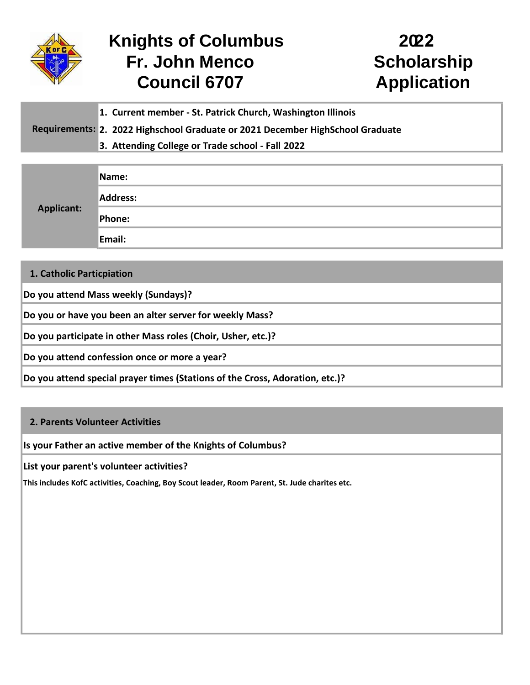

## **Council 6707 Application Knights of Columbus** Fr. John Menco Scholarship

## **22**

- **1. Current member - St. Patrick Church, Washington Illinois**
- Requirements: 2. 2022 Highschool Graduate or 2021 December HighSchool Graduate
	- **3. Attending College or Trade school - Fall 20 22**

| <b>Applicant:</b> | Name:    |
|-------------------|----------|
|                   | Address: |
|                   | Phone:   |
|                   | Email:   |

**1. Catholic Particpiation**

**Do you attend Mass weekly (Sundays)?**

**Do you or have you been an alter server for weekly Mass?**

**Do you participate in other Mass roles (Choir, Usher, etc.)?**

**Do you attend confession once or more a year?**

**Do you attend special prayer times (Stations of the Cross, Adoration, etc.)?**

## **2. Parents Volunteer Activities**

**Is your Father an active member of the Knights of Columbus?**

**List your parent's volunteer activities?**

**This includes KofC activities, Coaching, Boy Scout leader, Room Parent, St. Jude charites etc.**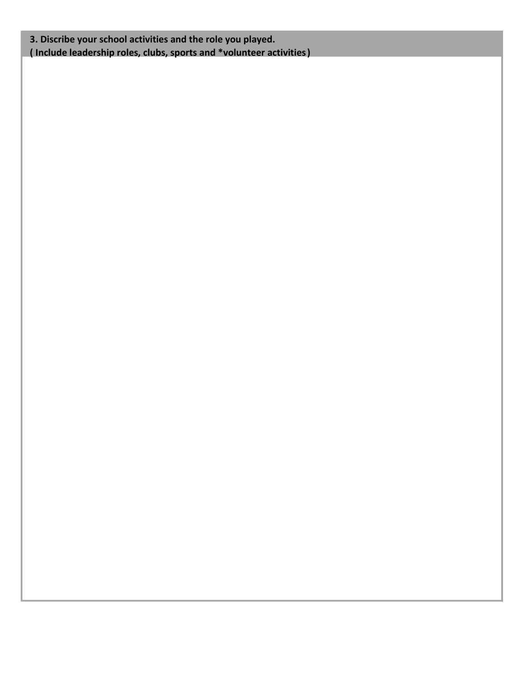**3. Discribe your school activities and the role you played. ( Include leadership roles, clubs, sports and \*volunteer activities)**